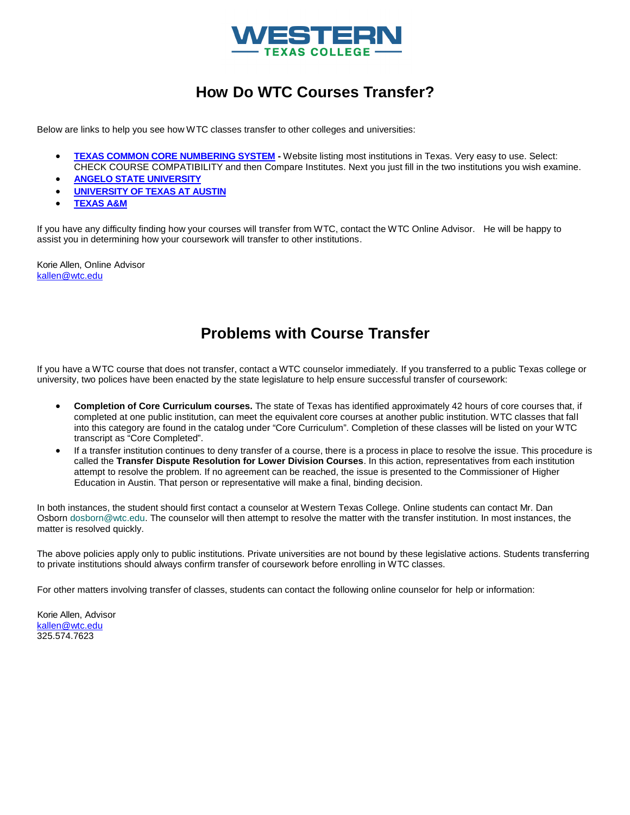

## **How Do WTC Courses Transfer?**

Below a[re links to help you see how WTC classes transfer t](http://www.tccns.org/)o other colleges and universities:

- **[TEXAS COMMON CORE NUMBERIN](http://utdirect.utexas.edu/adtreq/search2.WBX)G SYSTEM** Website listing most institutions in Texas. Very easy to use. Select: [CHECK COU](https://compass-ssb.tamu.edu/pls/PROD/bwxkwtes.P_TransEquivMain?te_type=inst)RSE COMPATIBILITY and then Compare Institutes. Next you just fill in the two institutions you wish examine.
- **ANGELO STATE UNIVERSITY**
- **UNIVERSITY OF TEXAS AT AUSTIN**
- **TEXAS A&M**

If you have any difficulty finding how your courses will transfer from WTC, contact the WTC Online Advisor. He will be happy to [assist you in dete](mailto:kallen@wtc.edu)rmining how your coursework will transfer to other institutions.

Korie Allen, Online Advisor kallen@wtc.edu

## **Problems with Course Transfer**

If you have a WTC course that does not transfer, contact a WTC counselor immediately. If you transferred to a public Texas college or university, two polices have been enacted by the state legislature to help ensure successful transfer of coursework:

- **Completion of Core Curriculum courses.** The state of Texas has identified approximately 42 hours of core courses that, if completed at one public institution, can meet the equivalent core courses at another public institution. WTC classes that fall into this category are found in the catalog under "Core Curriculum". Completion of these classes will be listed on your WTC transcript as "Core Completed".
- If a transfer institution continues to deny transfer of a course, there is a process in place to resolve the issue. This procedure is called the **Transfer Dispute Resolution for Lower Division Courses**. In this action, representatives from each institution attempt to resolve the problem. If no agreement can be reached, the issue is presented to the Commissioner of Higher Education in Austin. That person or representative will make a final, binding decision.

In both instances, the student should first contact a counselor at Western Texas College. Online students can contact Mr. Dan Osborn [dosborn@wtc.edu. T](mailto:dosborn@wtc.edu)he counselor will then attempt to resolve the matter with the transfer institution. In most instances, the matter is resolved quickly.

The above policies apply only to public institutions. Private universities are not bound by these legislative actions. Students transferring to private institutions should always confirm transfer of coursework before enrolling in WTC classes.

For other matters involving transfer of classes, students can contact the following online counselor for help or information:

Korie Allen, Advisor [kallen@wtc.edu](mailto:kallen@wtc.edu) 325.574.7623